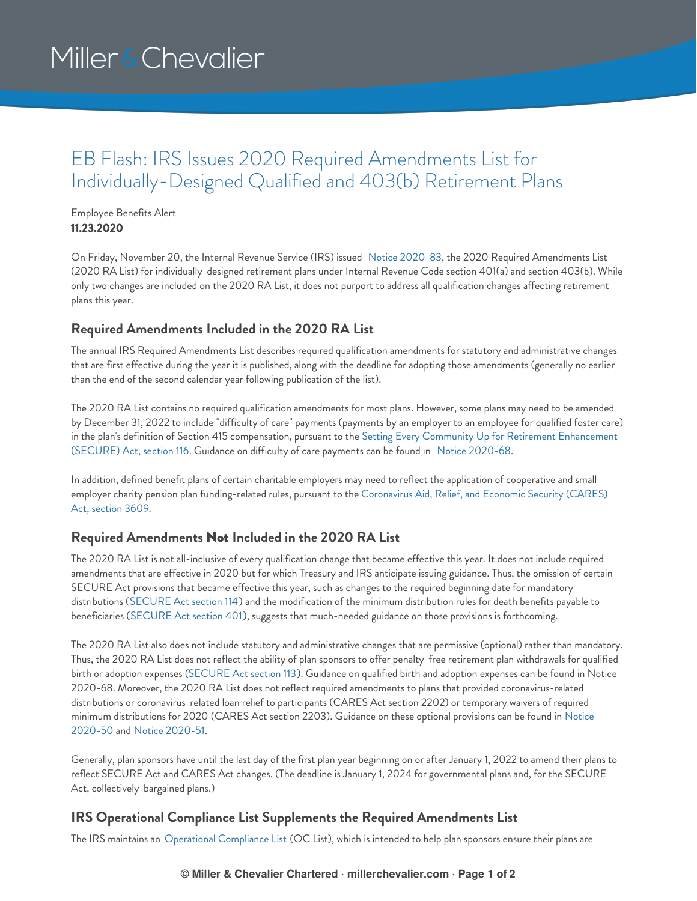# Miller & Chevalier

### EB Flash: IRS Issues 2020 Required Amendments List for Individually-Designed Qualified and 403(b) Retirement Plans

Employee Benefits Alert **11.23.2020**

On Friday, November 20, the Internal Revenue Service (IRS) issued Notice [2020-83](https://www.irs.gov/pub/irs-drop/n-20-83.pdf), the 2020 Required Amendments List (2020 RA List) for individually-designed retirement plans under Internal Revenue Code section 401(a) and section 403(b). While only two changes are included on the 2020 RA List, it does not purport to address all qualification changes affecting retirement plans this year.

#### **Required Amendments Included in the 2020 RA List**

The annual IRS Required Amendments List describes required qualification amendments for statutory and administrative changes that are first effective during the year it is published, along with the deadline for adopting those amendments (generally no earlier than the end of the second calendar year following publication of the list).

The 2020 RA List contains no required qualification amendments for most plans. However, some plans may need to be amended by December 31, 2022 to include "difficulty of care" payments (payments by an employer to an employee for qualified foster care) in the plan's definition of Section 415 [compensation,](https://www.congress.gov/bill/116th-congress/house-bill/1865/text/enr#toc-HBFE7F4443FFD400EA983DDB9216EC43E) pursuant to the Setting Every Community Up for Retirement Enhancement (SECURE) Act, section 116. Guidance on difficulty of care payments can be found in Notice [2020-68](https://www.irs.gov/pub/irs-drop/n-20-68.pdf).

In addition, defined benefit plans of certain charitable employers may need to reflect the application of cooperative and small employer charity pension plan [funding-related](https://www.congress.gov/bill/116th-congress/house-bill/748/text/enr#toc-H14FDB44DEDED441B8E86F0C3791074E6) rules, pursuant to the Coronavirus Aid, Relief, and Economic Security (CARES) Act, section 3609.

#### **Required Amendments** Not **Included in the 2020 RA List**

The 2020 RA List is not all-inclusive of every qualification change that became effective this year. It does not include required amendments that are effective in 2020 but for which Treasury and IRS anticipate issuing guidance. Thus, the omission of certain SECURE Act provisions that became effective this year, such as changes to the required beginning date for mandatory distributions ([SECURE](https://www.congress.gov/bill/116th-congress/house-bill/1865/text/enr#toc-H39A217C96C3341C9A8D8706C054A60D2) Act section 114) and the modification of the minimum distribution rules for death benefits payable to beneficiaries [\(SECURE](https://www.congress.gov/bill/116th-congress/house-bill/1865/text/enr#toc-H2544713764834046B363ABFE2083DC8B) Act section 401), suggests that much-needed guidance on those provisions is forthcoming.

The 2020 RA List also does not include statutory and administrative changes that are permissive (optional) rather than mandatory. Thus, the 2020 RA List does not reflect the ability of plan sponsors to offer penalty-free retirement plan withdrawals for qualified birth or adoption expenses [\(SECURE](https://www.congress.gov/bill/116th-congress/house-bill/1865/text/enr#toc-H6CC9D608AE8F4F4B94A8BEA19BF90FFD) Act section 113). Guidance on qualified birth and adoption expenses can be found in Notice 2020-68. Moreover, the 2020 RA List does not reflect required amendments to plans that provided coronavirus-related distributions or coronavirus-related loan relief to participants (CARES Act section 2202) or temporary waivers of required minimum [distributions](https://www.irs.gov/pub/irs-drop/n-20-50.pdf) for 2020 (CARES Act section 2203). Guidance on these optional provisions can be found in Notice 2020-50 and Notice [2020-51](https://www.irs.gov/pub/irs-drop/n-20-51.pdf).

Generally, plan sponsors have until the last day of the first plan year beginning on or after January 1, 2022 to amend their plans to reflect SECURE Act and CARES Act changes. (The deadline is January 1, 2024 for governmental plans and, for the SECURE Act, collectively-bargained plans.)

#### **IRS Operational Compliance List Supplements the Required Amendments List**

The IRS maintains an [Operational](https://www.irs.gov/retirement-plans/operational-compliance-list) Compliance List (OC List), which is intended to help plan sponsors ensure their plans are